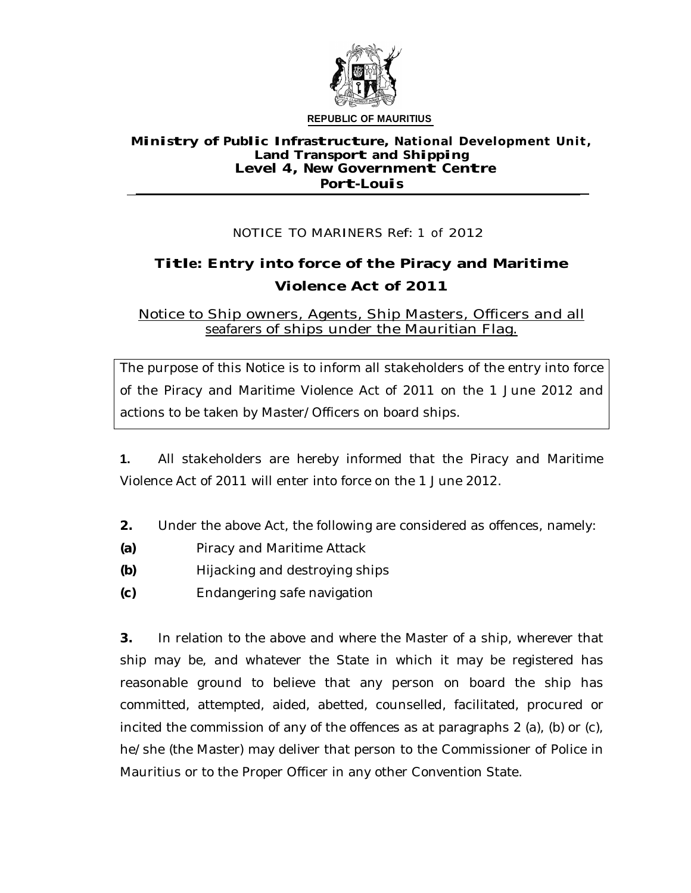

## **Ministry of Public Infrastructure, Nationa l Deve lopment Un it, Land Transport and Shipping Level 4, New Government Centre Port-Louis**

## NOTICE TO MARINERS Ref: <sup>1</sup> of 2012

## **Title: Entry into force of the Piracy and Maritime Violence Act of 2011**

Notice to Ship owners, Agents, Ship Masters, Officers and all seafarers of ships under the Mauritian Flag.

The purpose of this Notice is to inform all stakeholders of the entry into force of the Piracy and Maritime Violence Act of 2011 on the 1 June 2012 and actions to be taken by Master/Officers on board ships.

**1.** All stakeholders are hereby informed that the Piracy and Maritime Violence Act of 2011 will enter into force on the 1 June 2012.

- **2.** Under the above Act, the following are considered as offences, namely:
- **(a)** Piracy and Maritime Attack
- **(b)** Hijacking and destroying ships
- **(c)** Endangering safe navigation

**3.** In relation to the above and where the Master of a ship, wherever that ship may be, and whatever the State in which it may be registered has reasonable ground to believe that any person on board the ship has committed, attempted, aided, abetted, counselled, facilitated, procured or incited the commission of any of the offences as at paragraphs 2 (a), (b) or (c), he/she (the Master) may deliver that person to the Commissioner of Police in Mauritius or to the Proper Officer in any other Convention State.